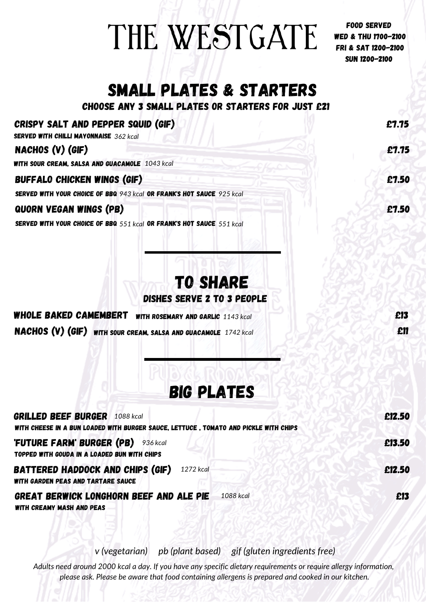## THE WESTGATE

FOOD SERVED wed & thu 1700-2100 FRI & sat 1200-2100 sun 1200-2100

## SMALL PLATES & STARTERS

CHOOSE ANY 3 SMALL PLATES OR STARTERS FOR JUST £21

 $\overline{C}$ Poisov salt and pepper squid  $\overline{C}$ if)

| CRISPY SALT AND PEPPER SQUID (GIF)<br><b>SERVED WITH CHILLI MAYONNAISE</b> 362 kcal                                          | £7.75  |
|------------------------------------------------------------------------------------------------------------------------------|--------|
| NACHOS (V) (GIF)                                                                                                             | £1.75  |
| <b>WITH SOUR CREAM, SALSA AND GUACAMOLE 1043 kcal</b>                                                                        |        |
| <b>BUFFALO CHICKEN WINGS (GIF)</b>                                                                                           | £7.50  |
| <b>SERVED WITH YOUR CHOICE OF BBQ 943 kcal OR FRANK'S HOT SAUCE 925 kcal</b>                                                 |        |
| <b>QUORN VEGAN WINGS (PB)</b>                                                                                                | £7.50  |
| SERVED WITH YOUR CHOICE OF BBQ 551 kcal OR FRANK'S HOT SAUCE 551 kcal                                                        |        |
| <b>TO SHARE</b><br>DISHES SERVE 2 TO 3 PEOPLE                                                                                |        |
| <b>WHOLE BAKED CAMEMBERT</b> WITH ROSEMARY AND GARLIC 1143 kcal                                                              | £13    |
| NACHOS (V) (GIF) WITH SOUR CREAM, SALSA AND GUACAMOLE 1742 kcal                                                              | £11    |
| <b>BIG PLATES</b>                                                                                                            |        |
| <b>GRILLED BEEF BURGER 1088 kcal</b><br>WITH CHEESE IN A BUN LOADED WITH BURGER SAUCE, LETTUCE, TOMATO AND PICKLE WITH CHIPS | £12.50 |
| <b>FUTURE FARM' BURGER (PB)</b> 936 kcal<br>TOPPED WITH GOUDA IN A LOADED BUN WITH CHIPS                                     | £13.50 |
| <b>BATTERED HADDOCK AND CHIPS (GIF)</b><br>1272 kcal<br><b>WITH GARDEN PEAS AND TARTARE SAUCE</b>                            | £12.50 |
| <b>GREAT BERWICK LONGHORN BEEF AND ALE PIE</b><br>1088 kcal<br><b>WITH CREAMY MASH AND PEAS</b>                              | £13    |

*v (vegetarian) pb (plant based) gif (gluten ingredients free)*

Adults need around 2000 kcal a day. If you have any specific dietary requirements or require allergy information, *please ask. Please be aware that food containing allergens is prepared and cooked in our kitchen.*